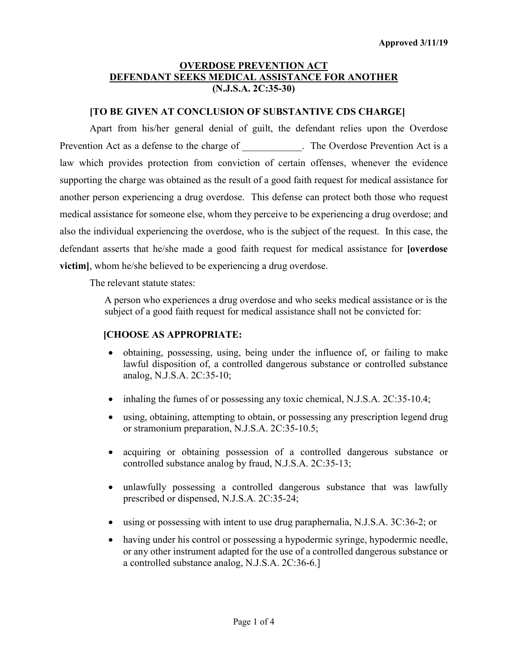# **OVERDOSE PREVENTION ACT DEFENDANT SEEKS MEDICAL ASSISTANCE FOR ANOTHER (N.J.S.A. 2C:35-30)**

## **[TO BE GIVEN AT CONCLUSION OF SUBSTANTIVE CDS CHARGE]**

Apart from his/her general denial of guilt, the defendant relies upon the Overdose Prevention Act as a defense to the charge of The Overdose Prevention Act is a law which provides protection from conviction of certain offenses, whenever the evidence supporting the charge was obtained as the result of a good faith request for medical assistance for another person experiencing a drug overdose. This defense can protect both those who request medical assistance for someone else, whom they perceive to be experiencing a drug overdose; and also the individual experiencing the overdose, who is the subject of the request. In this case, the defendant asserts that he/she made a good faith request for medical assistance for **[overdose victim**, whom he/she believed to be experiencing a drug overdose.

The relevant statute states:

A person who experiences a drug overdose and who seeks medical assistance or is the subject of a good faith request for medical assistance shall not be convicted for:

#### **[CHOOSE AS APPROPRIATE:**

- obtaining, possessing, using, being under the influence of, or failing to make lawful disposition of, a controlled dangerous substance or controlled substance analog, N.J.S.A. 2C:35-10;
- inhaling the fumes of or possessing any toxic chemical, N.J.S.A. 2C:35-10.4;
- using, obtaining, attempting to obtain, or possessing any prescription legend drug or stramonium preparation, N.J.S.A. 2C:35-10.5;
- acquiring or obtaining possession of a controlled dangerous substance or controlled substance analog by fraud, N.J.S.A. 2C:35-13;
- unlawfully possessing a controlled dangerous substance that was lawfully prescribed or dispensed, N.J.S.A. 2C:35-24;
- using or possessing with intent to use drug paraphernalia, N.J.S.A. 3C:36-2; or
- having under his control or possessing a hypodermic syringe, hypodermic needle, or any other instrument adapted for the use of a controlled dangerous substance or a controlled substance analog, N.J.S.A. 2C:36-6.]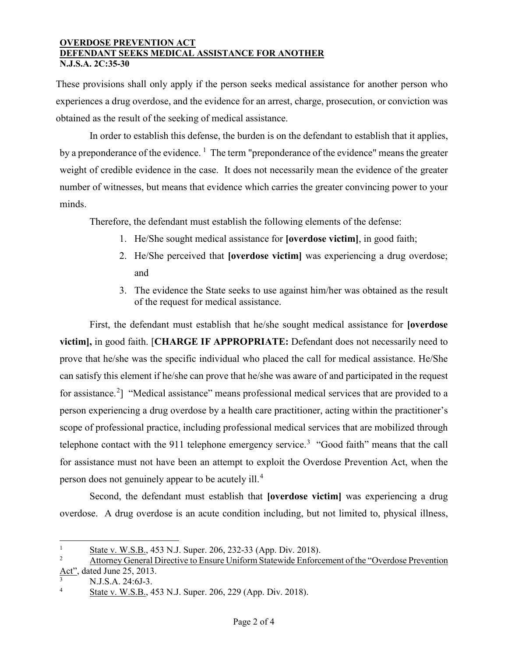#### **OVERDOSE PREVENTION ACT DEFENDANT SEEKS MEDICAL ASSISTANCE FOR ANOTHER N.J.S.A. 2C:35-30**

These provisions shall only apply if the person seeks medical assistance for another person who experiences a drug overdose, and the evidence for an arrest, charge, prosecution, or conviction was obtained as the result of the seeking of medical assistance.

In order to establish this defense, the burden is on the defendant to establish that it applies, by a preponderance of the evidence.<sup>[1](#page-1-0)</sup> The term "preponderance of the evidence" means the greater weight of credible evidence in the case. It does not necessarily mean the evidence of the greater number of witnesses, but means that evidence which carries the greater convincing power to your minds.

Therefore, the defendant must establish the following elements of the defense:

- 1. He/She sought medical assistance for **[overdose victim]**, in good faith;
- 2. He/She perceived that **[overdose victim]** was experiencing a drug overdose; and
- 3. The evidence the State seeks to use against him/her was obtained as the result of the request for medical assistance.

First, the defendant must establish that he/she sought medical assistance for **[overdose victim],** in good faith. [**CHARGE IF APPROPRIATE:** Defendant does not necessarily need to prove that he/she was the specific individual who placed the call for medical assistance. He/She can satisfy this element if he/she can prove that he/she was aware of and participated in the request for assistance.<sup>[2](#page-1-1)</sup>] "Medical assistance" means professional medical services that are provided to a person experiencing a drug overdose by a health care practitioner, acting within the practitioner's scope of professional practice, including professional medical services that are mobilized through telephone contact with the 911 telephone emergency service.<sup>[3](#page-1-2)</sup> "Good faith" means that the call for assistance must not have been an attempt to exploit the Overdose Prevention Act, when the person does not genuinely appear to be acutely ill.<sup>[4](#page-1-3)</sup>

Second, the defendant must establish that **[overdose victim]** was experiencing a drug overdose. A drug overdose is an acute condition including, but not limited to, physical illness,

 $\overline{a}$ 

<span id="page-1-0"></span><sup>&</sup>lt;sup>1</sup> State v. W.S.B., 453 N.J. Super. 206, 232-33 (App. Div. 2018).

<span id="page-1-1"></span>Attorney General Directive to Ensure Uniform Statewide Enforcement of the "Overdose Prevention Act", dated June 25, 2013.

<span id="page-1-2"></span><sup>3</sup> N.J.S.A. 24:6J-3.

<span id="page-1-3"></span>State v. W.S.B., 453 N.J. Super. 206, 229 (App. Div. 2018).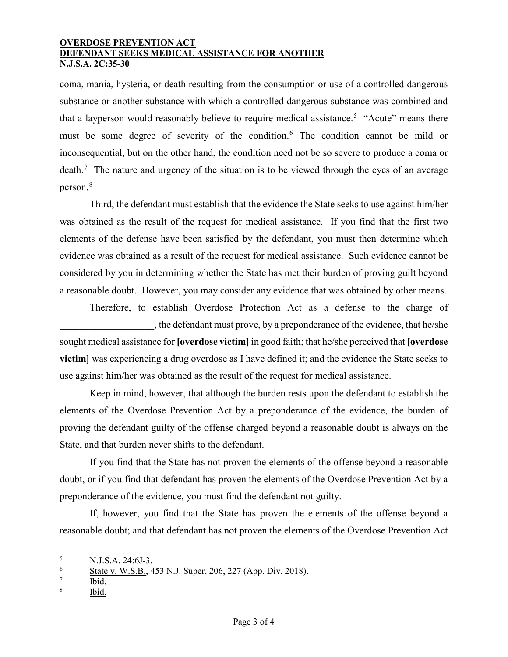#### **OVERDOSE PREVENTION ACT DEFENDANT SEEKS MEDICAL ASSISTANCE FOR ANOTHER N.J.S.A. 2C:35-30**

coma, mania, hysteria, or death resulting from the consumption or use of a controlled dangerous substance or another substance with which a controlled dangerous substance was combined and that a layperson would reasonably believe to require medical assistance.<sup>[5](#page-2-0)</sup> "Acute" means there must be some degree of severity of the condition.<sup>[6](#page-2-1)</sup> The condition cannot be mild or inconsequential, but on the other hand, the condition need not be so severe to produce a coma or death.<sup>[7](#page-2-2)</sup> The nature and urgency of the situation is to be viewed through the eyes of an average person.[8](#page-2-3)

Third, the defendant must establish that the evidence the State seeks to use against him/her was obtained as the result of the request for medical assistance. If you find that the first two elements of the defense have been satisfied by the defendant, you must then determine which evidence was obtained as a result of the request for medical assistance. Such evidence cannot be considered by you in determining whether the State has met their burden of proving guilt beyond a reasonable doubt. However, you may consider any evidence that was obtained by other means.

Therefore, to establish Overdose Protection Act as a defense to the charge of , the defendant must prove, by a preponderance of the evidence, that he/she sought medical assistance for **[overdose victim]** in good faith; that he/she perceived that **[overdose victim]** was experiencing a drug overdose as I have defined it; and the evidence the State seeks to use against him/her was obtained as the result of the request for medical assistance.

Keep in mind, however, that although the burden rests upon the defendant to establish the elements of the Overdose Prevention Act by a preponderance of the evidence, the burden of proving the defendant guilty of the offense charged beyond a reasonable doubt is always on the State, and that burden never shifts to the defendant.

If you find that the State has not proven the elements of the offense beyond a reasonable doubt, or if you find that defendant has proven the elements of the Overdose Prevention Act by a preponderance of the evidence, you must find the defendant not guilty.

If, however, you find that the State has proven the elements of the offense beyond a reasonable doubt; and that defendant has not proven the elements of the Overdose Prevention Act

 $\overline{a}$ 

Ibid.

<span id="page-2-0"></span> $\frac{5}{6}$  N.J.S.A. 24:6J-3.

<span id="page-2-1"></span> $\frac{6}{7}$  State v. W.S.B., 453 N.J. Super. 206, 227 (App. Div. 2018).

<span id="page-2-3"></span><span id="page-2-2"></span> $rac{7}{8}$  Ibid.